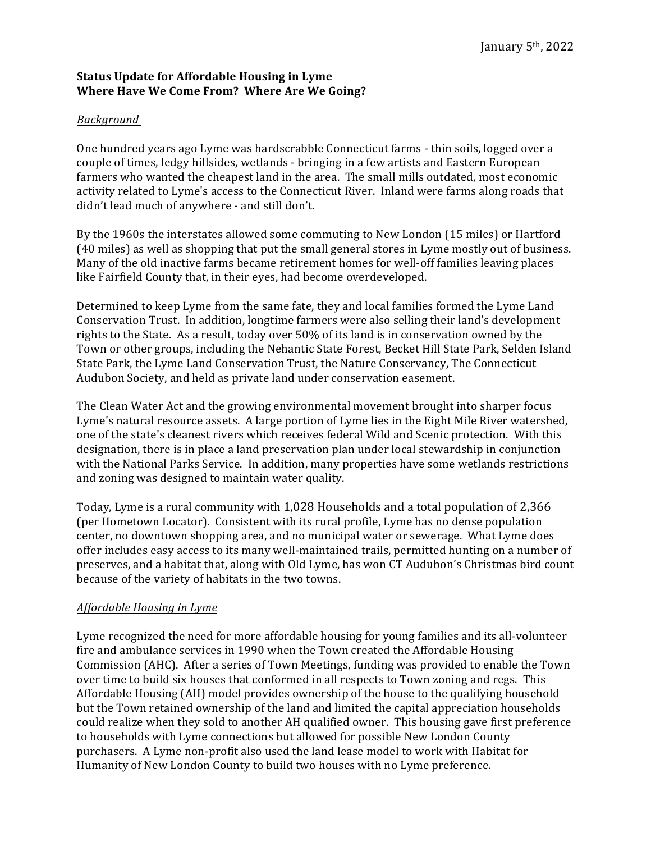## **Status Update for Affordable Housing in Lyme Where Have We Come From? Where Are We Going?**

## *Background*

One hundred years ago Lyme was hardscrabble Connecticut farms - thin soils, logged over a couple of times, ledgy hillsides, wetlands - bringing in a few artists and Eastern European farmers who wanted the cheapest land in the area. The small mills outdated, most economic activity related to Lyme's access to the Connecticut River. Inland were farms along roads that didn't lead much of anywhere - and still don't.

By the 1960s the interstates allowed some commuting to New London (15 miles) or Hartford (40 miles) as well as shopping that put the small general stores in Lyme mostly out of business. Many of the old inactive farms became retirement homes for well-off families leaving places like Fairfield County that, in their eyes, had become overdeveloped.

Determined to keep Lyme from the same fate, they and local families formed the Lyme Land Conservation Trust. In addition, longtime farmers were also selling their land's development rights to the State. As a result, today over  $50\%$  of its land is in conservation owned by the Town or other groups, including the Nehantic State Forest, Becket Hill State Park, Selden Island State Park, the Lyme Land Conservation Trust, the Nature Conservancy, The Connecticut Audubon Society, and held as private land under conservation easement.

The Clean Water Act and the growing environmental movement brought into sharper focus Lyme's natural resource assets. A large portion of Lyme lies in the Eight Mile River watershed, one of the state's cleanest rivers which receives federal Wild and Scenic protection. With this designation, there is in place a land preservation plan under local stewardship in conjunction with the National Parks Service. In addition, many properties have some wetlands restrictions and zoning was designed to maintain water quality.

Today, Lyme is a rural community with 1,028 Households and a total population of 2,366 (per Hometown Locator). Consistent with its rural profile, Lyme has no dense population center, no downtown shopping area, and no municipal water or sewerage. What Lyme does offer includes easy access to its many well-maintained trails, permitted hunting on a number of preserves, and a habitat that, along with Old Lyme, has won CT Audubon's Christmas bird count because of the variety of habitats in the two towns.

## *Affordable Housing in Lyme*

Lyme recognized the need for more affordable housing for young families and its all-volunteer fire and ambulance services in 1990 when the Town created the Affordable Housing Commission (AHC). After a series of Town Meetings, funding was provided to enable the Town over time to build six houses that conformed in all respects to Town zoning and regs. This Affordable Housing (AH) model provides ownership of the house to the qualifying household but the Town retained ownership of the land and limited the capital appreciation households could realize when they sold to another AH qualified owner. This housing gave first preference to households with Lyme connections but allowed for possible New London County purchasers. A Lyme non-profit also used the land lease model to work with Habitat for Humanity of New London County to build two houses with no Lyme preference.